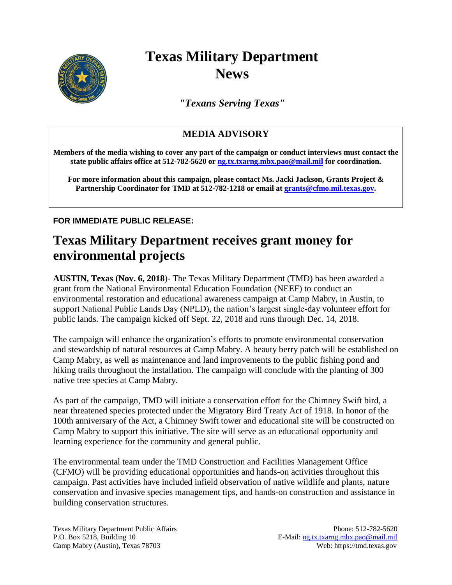

## **Texas Military Department News**

*"Texans Serving Texas"*

## **MEDIA ADVISORY**

**Members of the media wishing to cover any part of the campaign or conduct interviews must contact the state public affairs office at 512-782-5620 or [ng.tx.txarng.mbx.pao@mail.mil](mailto:ng.tx.txarng.mbx.pao@mail.mil) for coordination.** 

**For more information about this campaign, please contact Ms. Jacki Jackson, Grants Project & Partnership Coordinator for TMD at 512-782-1218 or email at [grants@cfmo.mil.texas.gov.](mailto:grants@cfmo.mil.texas.gov)**

**FOR IMMEDIATE PUBLIC RELEASE:**

## **Texas Military Department receives grant money for environmental projects**

**AUSTIN, Texas (Nov. 6, 2018**)- The Texas Military Department (TMD) has been awarded a grant from the National Environmental Education Foundation (NEEF) to conduct an environmental restoration and educational awareness campaign at Camp Mabry, in Austin, to support National Public Lands Day (NPLD), the nation's largest single-day volunteer effort for public lands. The campaign kicked off Sept. 22, 2018 and runs through Dec. 14, 2018.

The campaign will enhance the organization's efforts to promote environmental conservation and stewardship of natural resources at Camp Mabry. A beauty berry patch will be established on Camp Mabry, as well as maintenance and land improvements to the public fishing pond and hiking trails throughout the installation. The campaign will conclude with the planting of 300 native tree species at Camp Mabry.

As part of the campaign, TMD will initiate a conservation effort for the Chimney Swift bird, a near threatened species protected under the Migratory Bird Treaty Act of 1918. In honor of the 100th anniversary of the Act, a Chimney Swift tower and educational site will be constructed on Camp Mabry to support this initiative. The site will serve as an educational opportunity and learning experience for the community and general public.

The environmental team under the TMD Construction and Facilities Management Office (CFMO) will be providing educational opportunities and hands-on activities throughout this campaign. Past activities have included infield observation of native wildlife and plants, nature conservation and invasive species management tips, and hands-on construction and assistance in building conservation structures.

Texas Military Department Public Affairs Phone: 512-782-5620 P.O. Box 5218, Building 10 E-Mail: [ng.tx.txarng.mbx.pao@mail.mil](mailto:ng.tx.txarng.mbx.pao@mail.mil) Camp Mabry (Austin), Texas 78703 Web: https://tmd.texas.gov